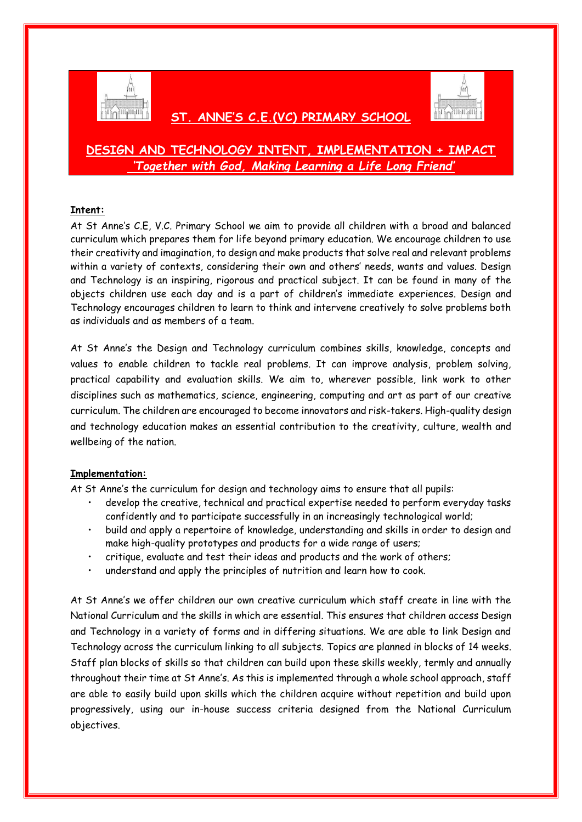

 **ST. ANNE'S C.E.(VC) PRIMARY SCHOOL** 



## **DESIGN AND TECHNOLOGY INTENT, IMPLEMENTATION + IMPACT** *'Together with God, Making Learning a Life Long Friend'*

## **Intent:**

At St Anne's C.E, V.C. Primary School we aim to provide all children with a broad and balanced curriculum which prepares them for life beyond primary education. We encourage children to use their creativity and imagination, to design and make products that solve real and relevant problems within a variety of contexts, considering their own and others' needs, wants and values. Design and Technology is an inspiring, rigorous and practical subject. It can be found in many of the objects children use each day and is a part of children's immediate experiences. Design and Technology encourages children to learn to think and intervene creatively to solve problems both as individuals and as members of a team.

At St Anne's the Design and Technology curriculum combines skills, knowledge, concepts and values to enable children to tackle real problems. It can improve analysis, problem solving, practical capability and evaluation skills. We aim to, wherever possible, link work to other disciplines such as mathematics, science, engineering, computing and art as part of our creative curriculum. The children are encouraged to become innovators and risk-takers. High-quality design and technology education makes an essential contribution to the creativity, culture, wealth and wellbeing of the nation.

## **Implementation:**

At St Anne's the curriculum for design and technology aims to ensure that all pupils:

- develop the creative, technical and practical expertise needed to perform everyday tasks confidently and to participate successfully in an increasingly technological world;
- build and apply a repertoire of knowledge, understanding and skills in order to design and make high-quality prototypes and products for a wide range of users;
- critique, evaluate and test their ideas and products and the work of others;
- understand and apply the principles of nutrition and learn how to cook.

At St Anne's we offer children our own creative curriculum which staff create in line with the National Curriculum and the skills in which are essential. This ensures that children access Design and Technology in a variety of forms and in differing situations. We are able to link Design and Technology across the curriculum linking to all subjects. Topics are planned in blocks of 14 weeks. Staff plan blocks of skills so that children can build upon these skills weekly, termly and annually throughout their time at St Anne's. As this is implemented through a whole school approach, staff are able to easily build upon skills which the children acquire without repetition and build upon progressively, using our in-house success criteria designed from the National Curriculum objectives.